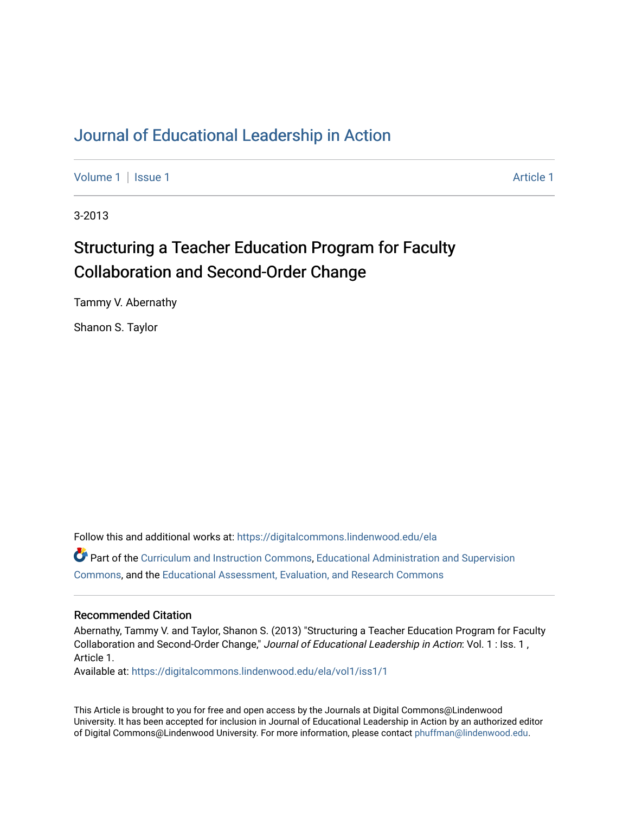### [Journal of Educational Leadership in Action](https://digitalcommons.lindenwood.edu/ela)

[Volume 1](https://digitalcommons.lindenwood.edu/ela/vol1) | [Issue 1](https://digitalcommons.lindenwood.edu/ela/vol1/iss1) Article 1

3-2013

## Structuring a Teacher Education Program for Faculty Collaboration and Second-Order Change

Tammy V. Abernathy

Shanon S. Taylor

Follow this and additional works at: [https://digitalcommons.lindenwood.edu/ela](https://digitalcommons.lindenwood.edu/ela?utm_source=digitalcommons.lindenwood.edu%2Fela%2Fvol1%2Fiss1%2F1&utm_medium=PDF&utm_campaign=PDFCoverPages) 

Part of the [Curriculum and Instruction Commons,](http://network.bepress.com/hgg/discipline/786?utm_source=digitalcommons.lindenwood.edu%2Fela%2Fvol1%2Fiss1%2F1&utm_medium=PDF&utm_campaign=PDFCoverPages) [Educational Administration and Supervision](http://network.bepress.com/hgg/discipline/787?utm_source=digitalcommons.lindenwood.edu%2Fela%2Fvol1%2Fiss1%2F1&utm_medium=PDF&utm_campaign=PDFCoverPages)  [Commons](http://network.bepress.com/hgg/discipline/787?utm_source=digitalcommons.lindenwood.edu%2Fela%2Fvol1%2Fiss1%2F1&utm_medium=PDF&utm_campaign=PDFCoverPages), and the [Educational Assessment, Evaluation, and Research Commons](http://network.bepress.com/hgg/discipline/796?utm_source=digitalcommons.lindenwood.edu%2Fela%2Fvol1%2Fiss1%2F1&utm_medium=PDF&utm_campaign=PDFCoverPages)

#### Recommended Citation

Abernathy, Tammy V. and Taylor, Shanon S. (2013) "Structuring a Teacher Education Program for Faculty Collaboration and Second-Order Change," Journal of Educational Leadership in Action: Vol. 1 : Iss. 1 , Article 1.

Available at: [https://digitalcommons.lindenwood.edu/ela/vol1/iss1/1](https://digitalcommons.lindenwood.edu/ela/vol1/iss1/1?utm_source=digitalcommons.lindenwood.edu%2Fela%2Fvol1%2Fiss1%2F1&utm_medium=PDF&utm_campaign=PDFCoverPages) 

This Article is brought to you for free and open access by the Journals at Digital Commons@Lindenwood University. It has been accepted for inclusion in Journal of Educational Leadership in Action by an authorized editor of Digital Commons@Lindenwood University. For more information, please contact [phuffman@lindenwood.edu](mailto:phuffman@lindenwood.edu).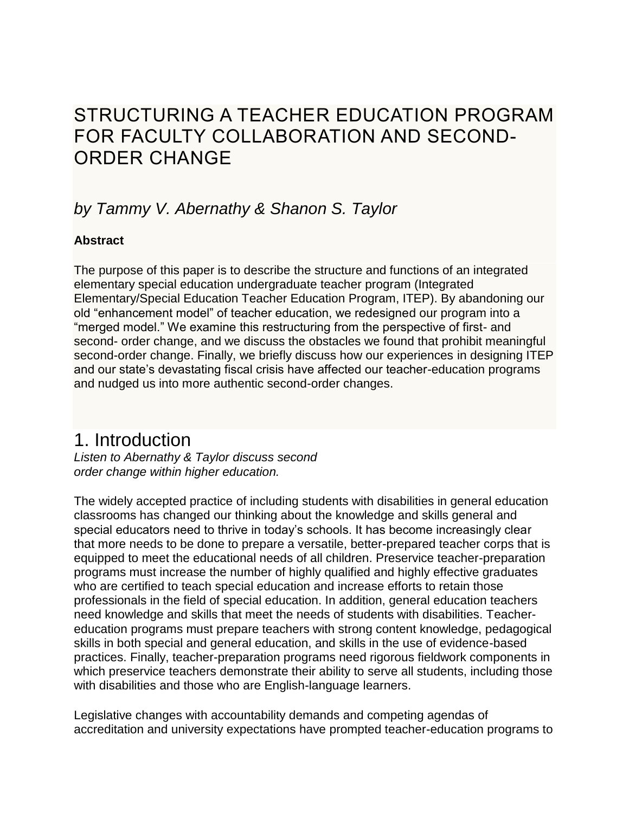## STRUCTURING A TEACHER EDUCATION PROGRAM FOR FACULTY COLLABORATION AND SECOND-ORDER CHANGE

### *by Tammy V. Abernathy & Shanon S. Taylor*

### **Abstract**

The purpose of this paper is to describe the structure and functions of an integrated elementary special education undergraduate teacher program (Integrated Elementary/Special Education Teacher Education Program, ITEP). By abandoning our old "enhancement model" of teacher education, we redesigned our program into a "merged model." We examine this restructuring from the perspective of first- and second- order change, and we discuss the obstacles we found that prohibit meaningful second-order change. Finally, we briefly discuss how our experiences in designing ITEP and our state's devastating fiscal crisis have affected our teacher-education programs and nudged us into more authentic second-order changes.

### 1. Introduction

*Listen to Abernathy & Taylor discuss second order change within higher education.*

The widely accepted practice of including students with disabilities in general education classrooms has changed our thinking about the knowledge and skills general and special educators need to thrive in today's schools. It has become increasingly clear that more needs to be done to prepare a versatile, better-prepared teacher corps that is equipped to meet the educational needs of all children. Preservice teacher-preparation programs must increase the number of highly qualified and highly effective graduates who are certified to teach special education and increase efforts to retain those professionals in the field of special education. In addition, general education teachers need knowledge and skills that meet the needs of students with disabilities. Teachereducation programs must prepare teachers with strong content knowledge, pedagogical skills in both special and general education, and skills in the use of evidence-based practices. Finally, teacher-preparation programs need rigorous fieldwork components in which preservice teachers demonstrate their ability to serve all students, including those with disabilities and those who are English-language learners.

Legislative changes with accountability demands and competing agendas of accreditation and university expectations have prompted teacher-education programs to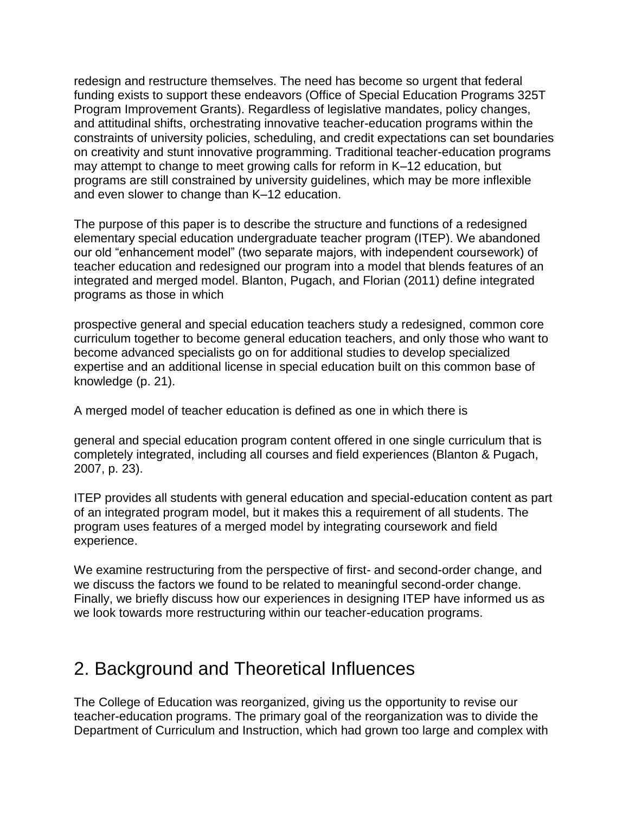redesign and restructure themselves. The need has become so urgent that federal funding exists to support these endeavors (Office of Special Education Programs 325T Program Improvement Grants). Regardless of legislative mandates, policy changes, and attitudinal shifts, orchestrating innovative teacher-education programs within the constraints of university policies, scheduling, and credit expectations can set boundaries on creativity and stunt innovative programming. Traditional teacher-education programs may attempt to change to meet growing calls for reform in K–12 education, but programs are still constrained by university guidelines, which may be more inflexible and even slower to change than K–12 education.

The purpose of this paper is to describe the structure and functions of a redesigned elementary special education undergraduate teacher program (ITEP). We abandoned our old "enhancement model" (two separate majors, with independent coursework) of teacher education and redesigned our program into a model that blends features of an integrated and merged model. Blanton, Pugach, and Florian (2011) define integrated programs as those in which

prospective general and special education teachers study a redesigned, common core curriculum together to become general education teachers, and only those who want to become advanced specialists go on for additional studies to develop specialized expertise and an additional license in special education built on this common base of knowledge (p. 21).

A merged model of teacher education is defined as one in which there is

general and special education program content offered in one single curriculum that is completely integrated, including all courses and field experiences (Blanton & Pugach, 2007, p. 23).

ITEP provides all students with general education and special-education content as part of an integrated program model, but it makes this a requirement of all students. The program uses features of a merged model by integrating coursework and field experience.

We examine restructuring from the perspective of first- and second-order change, and we discuss the factors we found to be related to meaningful second-order change. Finally, we briefly discuss how our experiences in designing ITEP have informed us as we look towards more restructuring within our teacher-education programs.

## 2. Background and Theoretical Influences

The College of Education was reorganized, giving us the opportunity to revise our teacher-education programs. The primary goal of the reorganization was to divide the Department of Curriculum and Instruction, which had grown too large and complex with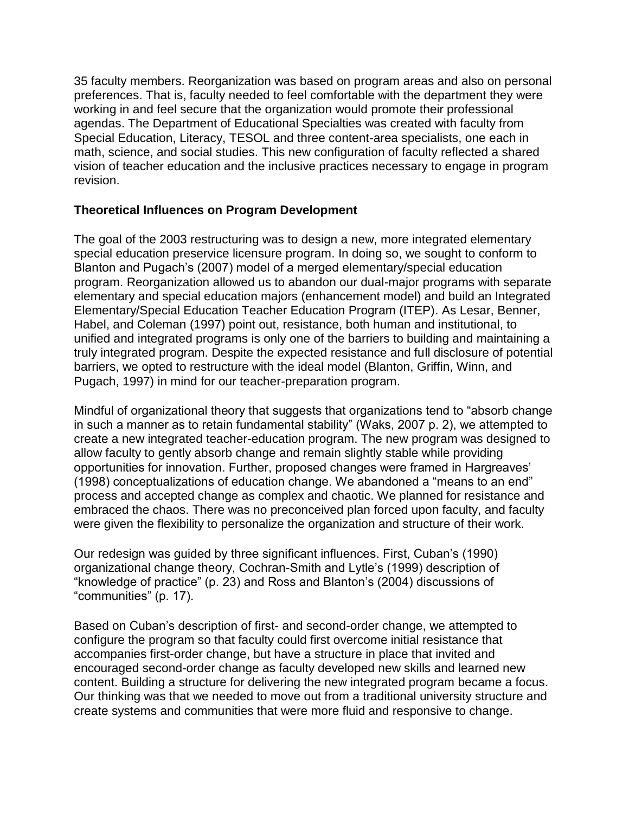35 faculty members. Reorganization was based on program areas and also on personal preferences. That is, faculty needed to feel comfortable with the department they were working in and feel secure that the organization would promote their professional agendas. The Department of Educational Specialties was created with faculty from Special Education, Literacy, TESOL and three content-area specialists, one each in math, science, and social studies. This new configuration of faculty reflected a shared vision of teacher education and the inclusive practices necessary to engage in program revision.

#### **Theoretical Influences on Program Development**

The goal of the 2003 restructuring was to design a new, more integrated elementary special education preservice licensure program. In doing so, we sought to conform to Blanton and Pugach's (2007) model of a merged elementary/special education program. Reorganization allowed us to abandon our dual-major programs with separate elementary and special education majors (enhancement model) and build an Integrated Elementary/Special Education Teacher Education Program (ITEP). As Lesar, Benner, Habel, and Coleman (1997) point out, resistance, both human and institutional, to unified and integrated programs is only one of the barriers to building and maintaining a truly integrated program. Despite the expected resistance and full disclosure of potential barriers, we opted to restructure with the ideal model (Blanton, Griffin, Winn, and Pugach, 1997) in mind for our teacher-preparation program.

Mindful of organizational theory that suggests that organizations tend to "absorb change in such a manner as to retain fundamental stability" (Waks, 2007 p. 2), we attempted to create a new integrated teacher-education program. The new program was designed to allow faculty to gently absorb change and remain slightly stable while providing opportunities for innovation. Further, proposed changes were framed in Hargreaves' (1998) conceptualizations of education change. We abandoned a "means to an end" process and accepted change as complex and chaotic. We planned for resistance and embraced the chaos. There was no preconceived plan forced upon faculty, and faculty were given the flexibility to personalize the organization and structure of their work.

Our redesign was guided by three significant influences. First, Cuban's (1990) organizational change theory, Cochran-Smith and Lytle's (1999) description of "knowledge of practice" (p. 23) and Ross and Blanton's (2004) discussions of "communities" (p. 17).

Based on Cuban's description of first- and second-order change, we attempted to configure the program so that faculty could first overcome initial resistance that accompanies first-order change, but have a structure in place that invited and encouraged second-order change as faculty developed new skills and learned new content. Building a structure for delivering the new integrated program became a focus. Our thinking was that we needed to move out from a traditional university structure and create systems and communities that were more fluid and responsive to change.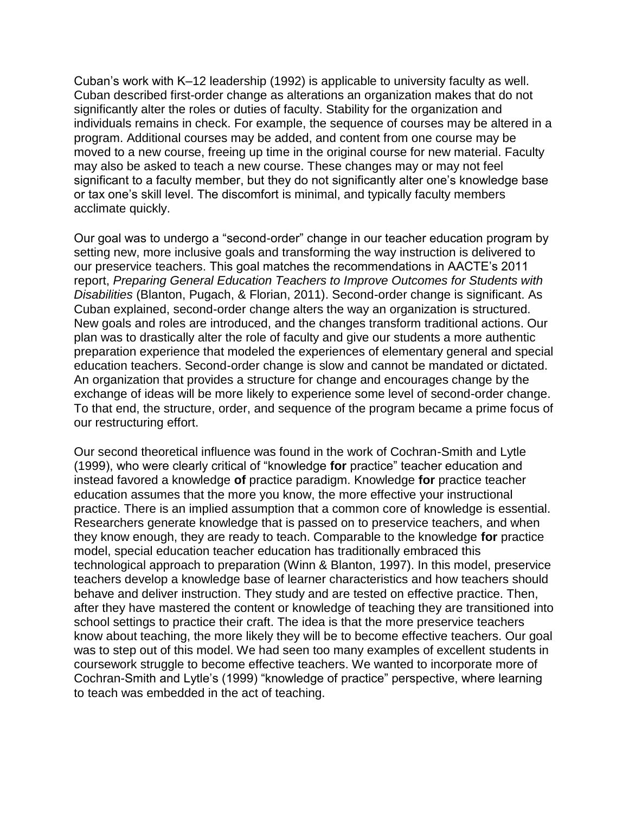Cuban's work with K–12 leadership (1992) is applicable to university faculty as well. Cuban described first-order change as alterations an organization makes that do not significantly alter the roles or duties of faculty. Stability for the organization and individuals remains in check. For example, the sequence of courses may be altered in a program. Additional courses may be added, and content from one course may be moved to a new course, freeing up time in the original course for new material. Faculty may also be asked to teach a new course. These changes may or may not feel significant to a faculty member, but they do not significantly alter one's knowledge base or tax one's skill level. The discomfort is minimal, and typically faculty members acclimate quickly.

Our goal was to undergo a "second-order" change in our teacher education program by setting new, more inclusive goals and transforming the way instruction is delivered to our preservice teachers. This goal matches the recommendations in AACTE's 2011 report, *Preparing General Education Teachers to Improve Outcomes for Students with Disabilities* (Blanton, Pugach, & Florian, 2011). Second-order change is significant. As Cuban explained, second-order change alters the way an organization is structured. New goals and roles are introduced, and the changes transform traditional actions. Our plan was to drastically alter the role of faculty and give our students a more authentic preparation experience that modeled the experiences of elementary general and special education teachers. Second-order change is slow and cannot be mandated or dictated. An organization that provides a structure for change and encourages change by the exchange of ideas will be more likely to experience some level of second-order change. To that end, the structure, order, and sequence of the program became a prime focus of our restructuring effort.

Our second theoretical influence was found in the work of Cochran-Smith and Lytle (1999), who were clearly critical of "knowledge **for** practice" teacher education and instead favored a knowledge **of** practice paradigm. Knowledge **for** practice teacher education assumes that the more you know, the more effective your instructional practice. There is an implied assumption that a common core of knowledge is essential. Researchers generate knowledge that is passed on to preservice teachers, and when they know enough, they are ready to teach. Comparable to the knowledge **for** practice model, special education teacher education has traditionally embraced this technological approach to preparation (Winn & Blanton, 1997). In this model, preservice teachers develop a knowledge base of learner characteristics and how teachers should behave and deliver instruction. They study and are tested on effective practice. Then, after they have mastered the content or knowledge of teaching they are transitioned into school settings to practice their craft. The idea is that the more preservice teachers know about teaching, the more likely they will be to become effective teachers. Our goal was to step out of this model. We had seen too many examples of excellent students in coursework struggle to become effective teachers. We wanted to incorporate more of Cochran-Smith and Lytle's (1999) "knowledge of practice" perspective, where learning to teach was embedded in the act of teaching.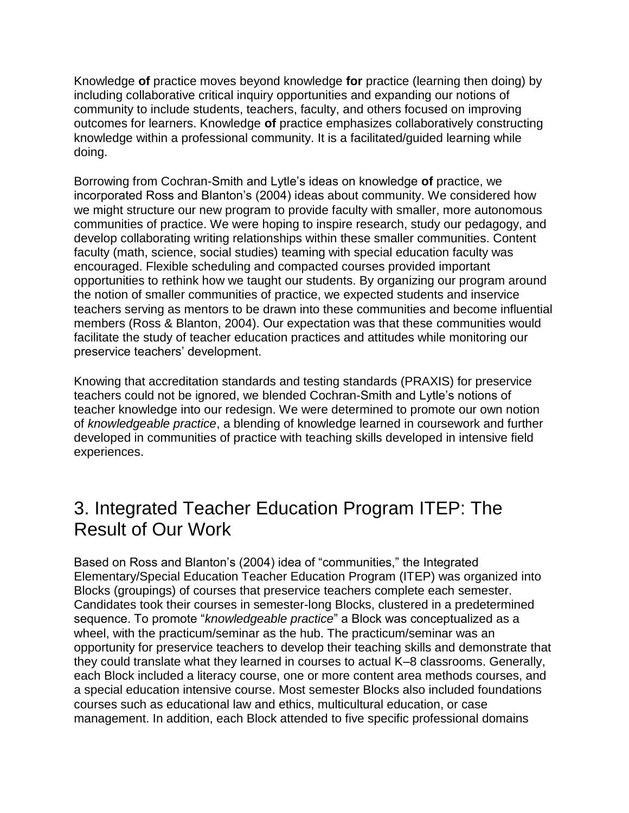Knowledge **of** practice moves beyond knowledge **for** practice (learning then doing) by including collaborative critical inquiry opportunities and expanding our notions of community to include students, teachers, faculty, and others focused on improving outcomes for learners. Knowledge **of** practice emphasizes collaboratively constructing knowledge within a professional community. It is a facilitated/guided learning while doing.

Borrowing from Cochran-Smith and Lytle's ideas on knowledge **of** practice, we incorporated Ross and Blanton's (2004) ideas about community. We considered how we might structure our new program to provide faculty with smaller, more autonomous communities of practice. We were hoping to inspire research, study our pedagogy, and develop collaborating writing relationships within these smaller communities. Content faculty (math, science, social studies) teaming with special education faculty was encouraged. Flexible scheduling and compacted courses provided important opportunities to rethink how we taught our students. By organizing our program around the notion of smaller communities of practice, we expected students and inservice teachers serving as mentors to be drawn into these communities and become influential members (Ross & Blanton, 2004). Our expectation was that these communities would facilitate the study of teacher education practices and attitudes while monitoring our preservice teachers' development.

Knowing that accreditation standards and testing standards (PRAXIS) for preservice teachers could not be ignored, we blended Cochran-Smith and Lytle's notions of teacher knowledge into our redesign. We were determined to promote our own notion of *knowledgeable practice*, a blending of knowledge learned in coursework and further developed in communities of practice with teaching skills developed in intensive field experiences.

# 3. Integrated Teacher Education Program ITEP: The Result of Our Work

Based on Ross and Blanton's (2004) idea of "communities," the Integrated Elementary/Special Education Teacher Education Program (ITEP) was organized into Blocks (groupings) of courses that preservice teachers complete each semester. Candidates took their courses in semester-long Blocks, clustered in a predetermined sequence. To promote "*knowledgeable practice*" a Block was conceptualized as a wheel, with the practicum/seminar as the hub. The practicum/seminar was an opportunity for preservice teachers to develop their teaching skills and demonstrate that they could translate what they learned in courses to actual K–8 classrooms. Generally, each Block included a literacy course, one or more content area methods courses, and a special education intensive course. Most semester Blocks also included foundations courses such as educational law and ethics, multicultural education, or case management. In addition, each Block attended to five specific professional domains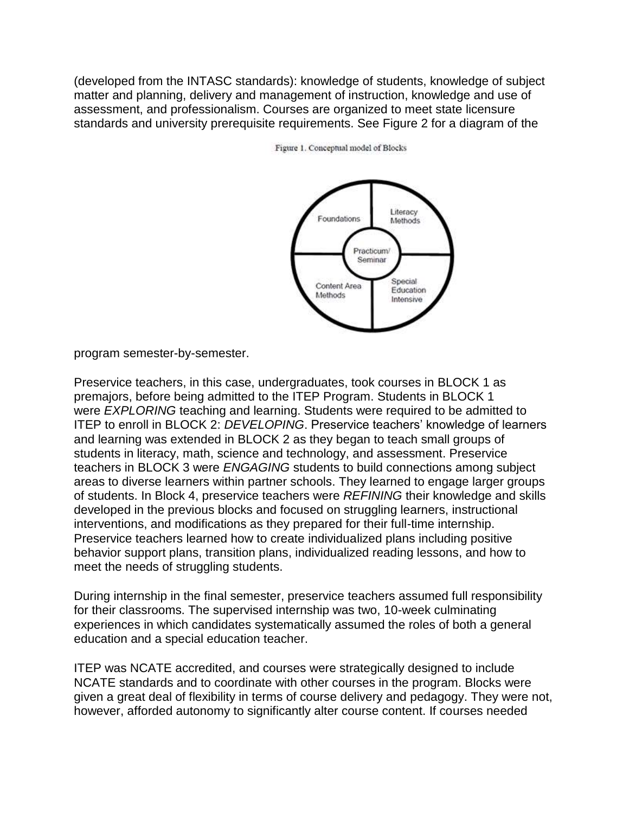(developed from the INTASC standards): knowledge of students, knowledge of subject matter and planning, delivery and management of instruction, knowledge and use of assessment, and professionalism. Courses are organized to meet state licensure standards and university prerequisite requirements. See Figure 2 for a diagram of the



Figure 1. Conceptual model of Blocks

program semester-by-semester.

Preservice teachers, in this case, undergraduates, took courses in BLOCK 1 as premajors, before being admitted to the ITEP Program. Students in BLOCK 1 were *EXPLORING* teaching and learning. Students were required to be admitted to ITEP to enroll in BLOCK 2: *DEVELOPING*. Preservice teachers' knowledge of learners and learning was extended in BLOCK 2 as they began to teach small groups of students in literacy, math, science and technology, and assessment. Preservice teachers in BLOCK 3 were *ENGAGING* students to build connections among subject areas to diverse learners within partner schools. They learned to engage larger groups of students. In Block 4, preservice teachers were *REFINING* their knowledge and skills developed in the previous blocks and focused on struggling learners, instructional interventions, and modifications as they prepared for their full-time internship. Preservice teachers learned how to create individualized plans including positive behavior support plans, transition plans, individualized reading lessons, and how to meet the needs of struggling students.

During internship in the final semester, preservice teachers assumed full responsibility for their classrooms. The supervised internship was two, 10-week culminating experiences in which candidates systematically assumed the roles of both a general education and a special education teacher.

ITEP was NCATE accredited, and courses were strategically designed to include NCATE standards and to coordinate with other courses in the program. Blocks were given a great deal of flexibility in terms of course delivery and pedagogy. They were not, however, afforded autonomy to significantly alter course content. If courses needed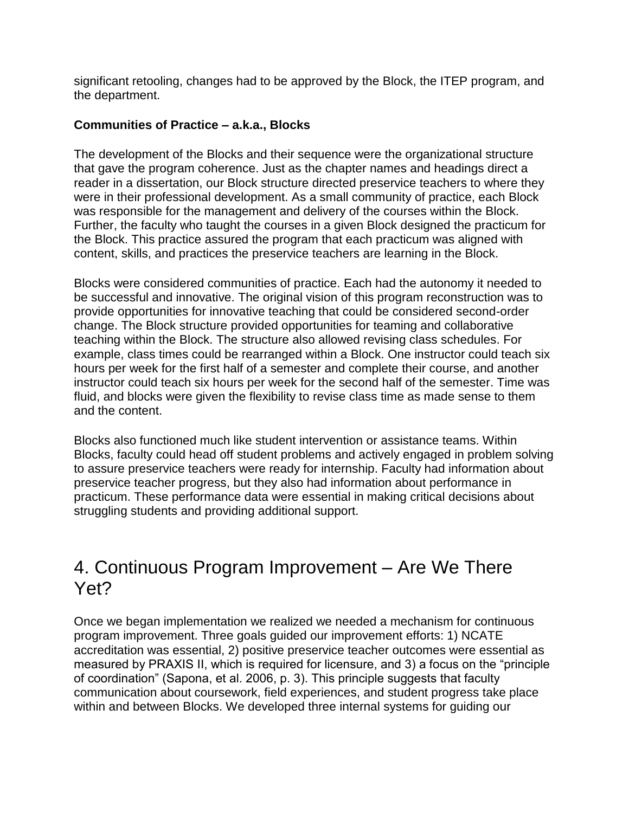significant retooling, changes had to be approved by the Block, the ITEP program, and the department.

#### **Communities of Practice – a.k.a., Blocks**

The development of the Blocks and their sequence were the organizational structure that gave the program coherence. Just as the chapter names and headings direct a reader in a dissertation, our Block structure directed preservice teachers to where they were in their professional development. As a small community of practice, each Block was responsible for the management and delivery of the courses within the Block. Further, the faculty who taught the courses in a given Block designed the practicum for the Block. This practice assured the program that each practicum was aligned with content, skills, and practices the preservice teachers are learning in the Block.

Blocks were considered communities of practice. Each had the autonomy it needed to be successful and innovative. The original vision of this program reconstruction was to provide opportunities for innovative teaching that could be considered second-order change. The Block structure provided opportunities for teaming and collaborative teaching within the Block. The structure also allowed revising class schedules. For example, class times could be rearranged within a Block. One instructor could teach six hours per week for the first half of a semester and complete their course, and another instructor could teach six hours per week for the second half of the semester. Time was fluid, and blocks were given the flexibility to revise class time as made sense to them and the content.

Blocks also functioned much like student intervention or assistance teams. Within Blocks, faculty could head off student problems and actively engaged in problem solving to assure preservice teachers were ready for internship. Faculty had information about preservice teacher progress, but they also had information about performance in practicum. These performance data were essential in making critical decisions about struggling students and providing additional support.

### 4. Continuous Program Improvement – Are We There Yet?

Once we began implementation we realized we needed a mechanism for continuous program improvement. Three goals guided our improvement efforts: 1) NCATE accreditation was essential, 2) positive preservice teacher outcomes were essential as measured by PRAXIS II, which is required for licensure, and 3) a focus on the "principle of coordination" (Sapona, et al. 2006, p. 3). This principle suggests that faculty communication about coursework, field experiences, and student progress take place within and between Blocks. We developed three internal systems for guiding our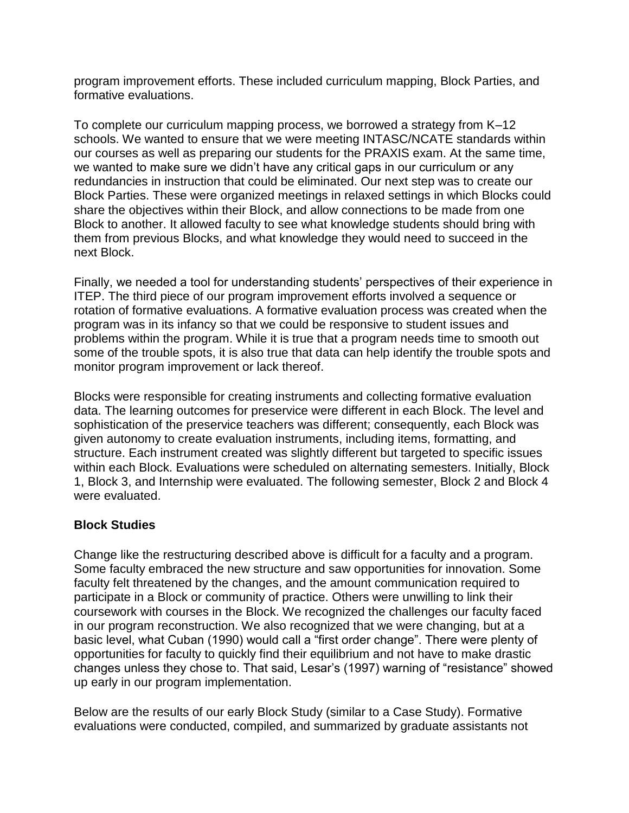program improvement efforts. These included curriculum mapping, Block Parties, and formative evaluations.

To complete our curriculum mapping process, we borrowed a strategy from K–12 schools. We wanted to ensure that we were meeting INTASC/NCATE standards within our courses as well as preparing our students for the PRAXIS exam. At the same time, we wanted to make sure we didn't have any critical gaps in our curriculum or any redundancies in instruction that could be eliminated. Our next step was to create our Block Parties. These were organized meetings in relaxed settings in which Blocks could share the objectives within their Block, and allow connections to be made from one Block to another. It allowed faculty to see what knowledge students should bring with them from previous Blocks, and what knowledge they would need to succeed in the next Block.

Finally, we needed a tool for understanding students' perspectives of their experience in ITEP. The third piece of our program improvement efforts involved a sequence or rotation of formative evaluations. A formative evaluation process was created when the program was in its infancy so that we could be responsive to student issues and problems within the program. While it is true that a program needs time to smooth out some of the trouble spots, it is also true that data can help identify the trouble spots and monitor program improvement or lack thereof.

Blocks were responsible for creating instruments and collecting formative evaluation data. The learning outcomes for preservice were different in each Block. The level and sophistication of the preservice teachers was different; consequently, each Block was given autonomy to create evaluation instruments, including items, formatting, and structure. Each instrument created was slightly different but targeted to specific issues within each Block. Evaluations were scheduled on alternating semesters. Initially, Block 1, Block 3, and Internship were evaluated. The following semester, Block 2 and Block 4 were evaluated.

#### **Block Studies**

Change like the restructuring described above is difficult for a faculty and a program. Some faculty embraced the new structure and saw opportunities for innovation. Some faculty felt threatened by the changes, and the amount communication required to participate in a Block or community of practice. Others were unwilling to link their coursework with courses in the Block. We recognized the challenges our faculty faced in our program reconstruction. We also recognized that we were changing, but at a basic level, what Cuban (1990) would call a "first order change". There were plenty of opportunities for faculty to quickly find their equilibrium and not have to make drastic changes unless they chose to. That said, Lesar's (1997) warning of "resistance" showed up early in our program implementation.

Below are the results of our early Block Study (similar to a Case Study). Formative evaluations were conducted, compiled, and summarized by graduate assistants not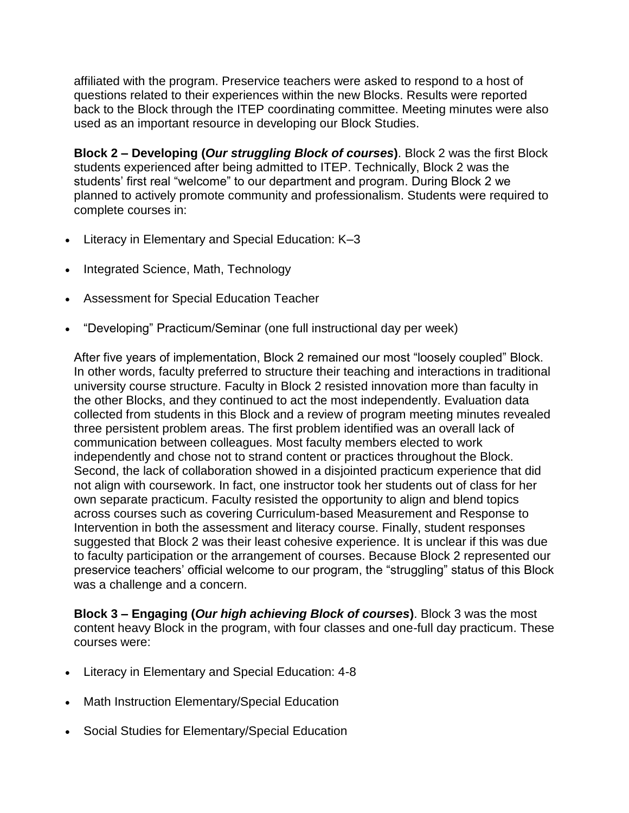affiliated with the program. Preservice teachers were asked to respond to a host of questions related to their experiences within the new Blocks. Results were reported back to the Block through the ITEP coordinating committee. Meeting minutes were also used as an important resource in developing our Block Studies.

**Block 2 – Developing (***Our struggling Block of courses***)**. Block 2 was the first Block students experienced after being admitted to ITEP. Technically, Block 2 was the students' first real "welcome" to our department and program. During Block 2 we planned to actively promote community and professionalism. Students were required to complete courses in:

- Literacy in Elementary and Special Education: K–3
- Integrated Science, Math, Technology
- Assessment for Special Education Teacher
- "Developing" Practicum/Seminar (one full instructional day per week)

After five years of implementation, Block 2 remained our most "loosely coupled" Block. In other words, faculty preferred to structure their teaching and interactions in traditional university course structure. Faculty in Block 2 resisted innovation more than faculty in the other Blocks, and they continued to act the most independently. Evaluation data collected from students in this Block and a review of program meeting minutes revealed three persistent problem areas. The first problem identified was an overall lack of communication between colleagues. Most faculty members elected to work independently and chose not to strand content or practices throughout the Block. Second, the lack of collaboration showed in a disjointed practicum experience that did not align with coursework. In fact, one instructor took her students out of class for her own separate practicum. Faculty resisted the opportunity to align and blend topics across courses such as covering Curriculum-based Measurement and Response to Intervention in both the assessment and literacy course. Finally, student responses suggested that Block 2 was their least cohesive experience. It is unclear if this was due to faculty participation or the arrangement of courses. Because Block 2 represented our preservice teachers' official welcome to our program, the "struggling" status of this Block was a challenge and a concern.

**Block 3 – Engaging (***Our high achieving Block of courses***)**. Block 3 was the most content heavy Block in the program, with four classes and one-full day practicum. These courses were:

- Literacy in Elementary and Special Education: 4-8
- Math Instruction Elementary/Special Education
- Social Studies for Elementary/Special Education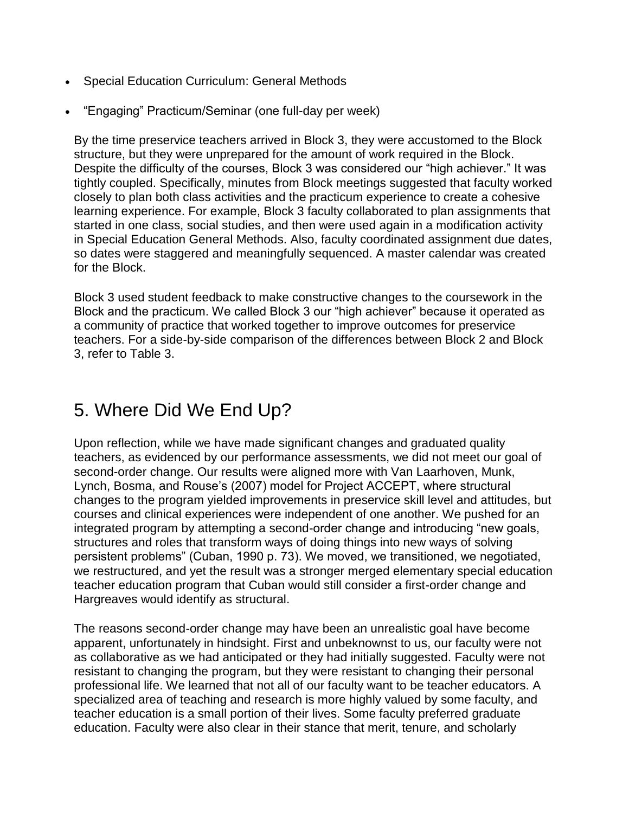- Special Education Curriculum: General Methods
- "Engaging" Practicum/Seminar (one full-day per week)

By the time preservice teachers arrived in Block 3, they were accustomed to the Block structure, but they were unprepared for the amount of work required in the Block. Despite the difficulty of the courses, Block 3 was considered our "high achiever." It was tightly coupled. Specifically, minutes from Block meetings suggested that faculty worked closely to plan both class activities and the practicum experience to create a cohesive learning experience. For example, Block 3 faculty collaborated to plan assignments that started in one class, social studies, and then were used again in a modification activity in Special Education General Methods. Also, faculty coordinated assignment due dates, so dates were staggered and meaningfully sequenced. A master calendar was created for the Block.

Block 3 used student feedback to make constructive changes to the coursework in the Block and the practicum. We called Block 3 our "high achiever" because it operated as a community of practice that worked together to improve outcomes for preservice teachers. For a side-by-side comparison of the differences between Block 2 and Block 3, refer to Table 3.

# 5. Where Did We End Up?

Upon reflection, while we have made significant changes and graduated quality teachers, as evidenced by our performance assessments, we did not meet our goal of second-order change. Our results were aligned more with Van Laarhoven, Munk, Lynch, Bosma, and Rouse's (2007) model for Project ACCEPT, where structural changes to the program yielded improvements in preservice skill level and attitudes, but courses and clinical experiences were independent of one another. We pushed for an integrated program by attempting a second-order change and introducing "new goals, structures and roles that transform ways of doing things into new ways of solving persistent problems" (Cuban, 1990 p. 73). We moved, we transitioned, we negotiated, we restructured, and yet the result was a stronger merged elementary special education teacher education program that Cuban would still consider a first-order change and Hargreaves would identify as structural.

The reasons second-order change may have been an unrealistic goal have become apparent, unfortunately in hindsight. First and unbeknownst to us, our faculty were not as collaborative as we had anticipated or they had initially suggested. Faculty were not resistant to changing the program, but they were resistant to changing their personal professional life. We learned that not all of our faculty want to be teacher educators. A specialized area of teaching and research is more highly valued by some faculty, and teacher education is a small portion of their lives. Some faculty preferred graduate education. Faculty were also clear in their stance that merit, tenure, and scholarly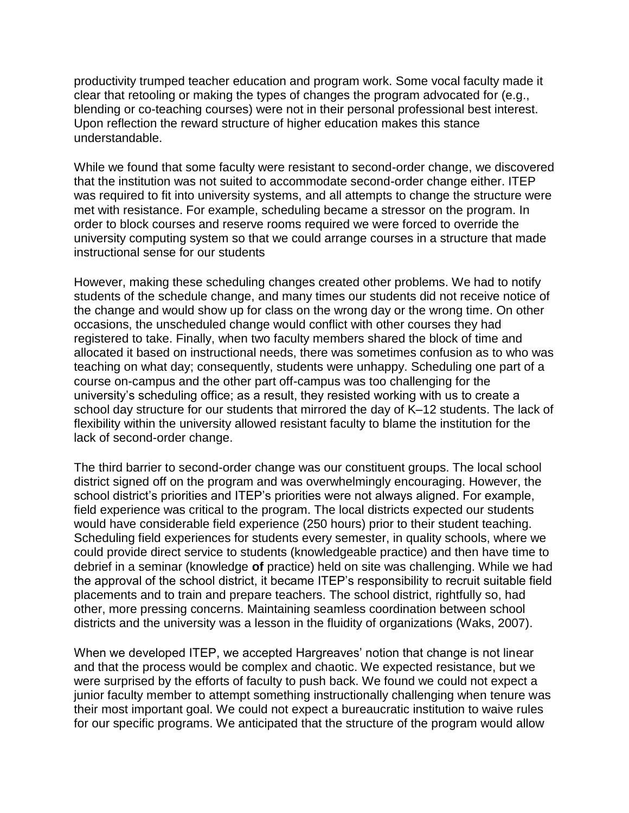productivity trumped teacher education and program work. Some vocal faculty made it clear that retooling or making the types of changes the program advocated for (e.g., blending or co-teaching courses) were not in their personal professional best interest. Upon reflection the reward structure of higher education makes this stance understandable.

While we found that some faculty were resistant to second-order change, we discovered that the institution was not suited to accommodate second-order change either. ITEP was required to fit into university systems, and all attempts to change the structure were met with resistance. For example, scheduling became a stressor on the program. In order to block courses and reserve rooms required we were forced to override the university computing system so that we could arrange courses in a structure that made instructional sense for our students

However, making these scheduling changes created other problems. We had to notify students of the schedule change, and many times our students did not receive notice of the change and would show up for class on the wrong day or the wrong time. On other occasions, the unscheduled change would conflict with other courses they had registered to take. Finally, when two faculty members shared the block of time and allocated it based on instructional needs, there was sometimes confusion as to who was teaching on what day; consequently, students were unhappy. Scheduling one part of a course on-campus and the other part off-campus was too challenging for the university's scheduling office; as a result, they resisted working with us to create a school day structure for our students that mirrored the day of K–12 students. The lack of flexibility within the university allowed resistant faculty to blame the institution for the lack of second-order change.

The third barrier to second-order change was our constituent groups. The local school district signed off on the program and was overwhelmingly encouraging. However, the school district's priorities and ITEP's priorities were not always aligned. For example, field experience was critical to the program. The local districts expected our students would have considerable field experience (250 hours) prior to their student teaching. Scheduling field experiences for students every semester, in quality schools, where we could provide direct service to students (knowledgeable practice) and then have time to debrief in a seminar (knowledge **of** practice) held on site was challenging. While we had the approval of the school district, it became ITEP's responsibility to recruit suitable field placements and to train and prepare teachers. The school district, rightfully so, had other, more pressing concerns. Maintaining seamless coordination between school districts and the university was a lesson in the fluidity of organizations (Waks, 2007).

When we developed ITEP, we accepted Hargreaves' notion that change is not linear and that the process would be complex and chaotic. We expected resistance, but we were surprised by the efforts of faculty to push back. We found we could not expect a junior faculty member to attempt something instructionally challenging when tenure was their most important goal. We could not expect a bureaucratic institution to waive rules for our specific programs. We anticipated that the structure of the program would allow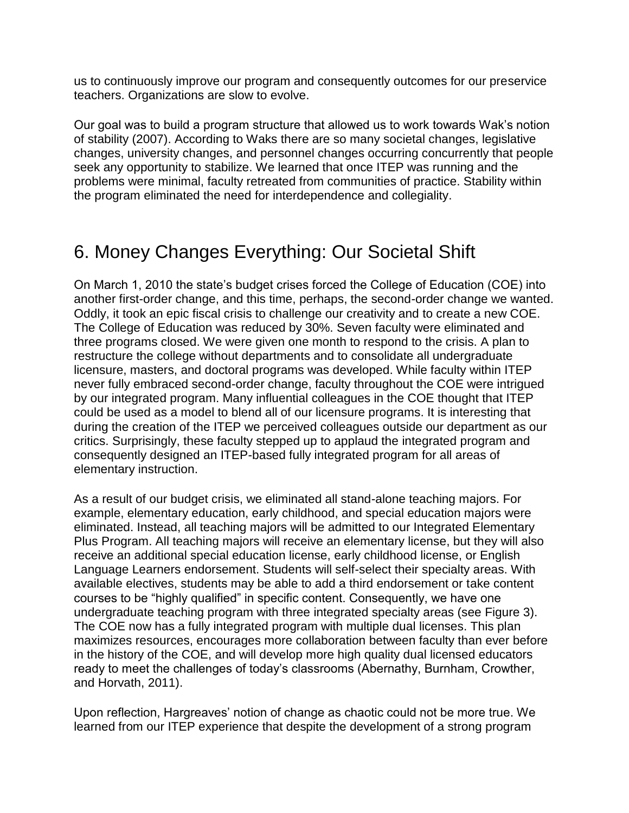us to continuously improve our program and consequently outcomes for our preservice teachers. Organizations are slow to evolve.

Our goal was to build a program structure that allowed us to work towards Wak's notion of stability (2007). According to Waks there are so many societal changes, legislative changes, university changes, and personnel changes occurring concurrently that people seek any opportunity to stabilize. We learned that once ITEP was running and the problems were minimal, faculty retreated from communities of practice. Stability within the program eliminated the need for interdependence and collegiality.

# 6. Money Changes Everything: Our Societal Shift

On March 1, 2010 the state's budget crises forced the College of Education (COE) into another first-order change, and this time, perhaps, the second-order change we wanted. Oddly, it took an epic fiscal crisis to challenge our creativity and to create a new COE. The College of Education was reduced by 30%. Seven faculty were eliminated and three programs closed. We were given one month to respond to the crisis. A plan to restructure the college without departments and to consolidate all undergraduate licensure, masters, and doctoral programs was developed. While faculty within ITEP never fully embraced second-order change, faculty throughout the COE were intrigued by our integrated program. Many influential colleagues in the COE thought that ITEP could be used as a model to blend all of our licensure programs. It is interesting that during the creation of the ITEP we perceived colleagues outside our department as our critics. Surprisingly, these faculty stepped up to applaud the integrated program and consequently designed an ITEP-based fully integrated program for all areas of elementary instruction.

As a result of our budget crisis, we eliminated all stand-alone teaching majors. For example, elementary education, early childhood, and special education majors were eliminated. Instead, all teaching majors will be admitted to our Integrated Elementary Plus Program. All teaching majors will receive an elementary license, but they will also receive an additional special education license, early childhood license, or English Language Learners endorsement. Students will self-select their specialty areas. With available electives, students may be able to add a third endorsement or take content courses to be "highly qualified" in specific content. Consequently, we have one undergraduate teaching program with three integrated specialty areas (see Figure 3). The COE now has a fully integrated program with multiple dual licenses. This plan maximizes resources, encourages more collaboration between faculty than ever before in the history of the COE, and will develop more high quality dual licensed educators ready to meet the challenges of today's classrooms (Abernathy, Burnham, Crowther, and Horvath, 2011).

Upon reflection, Hargreaves' notion of change as chaotic could not be more true. We learned from our ITEP experience that despite the development of a strong program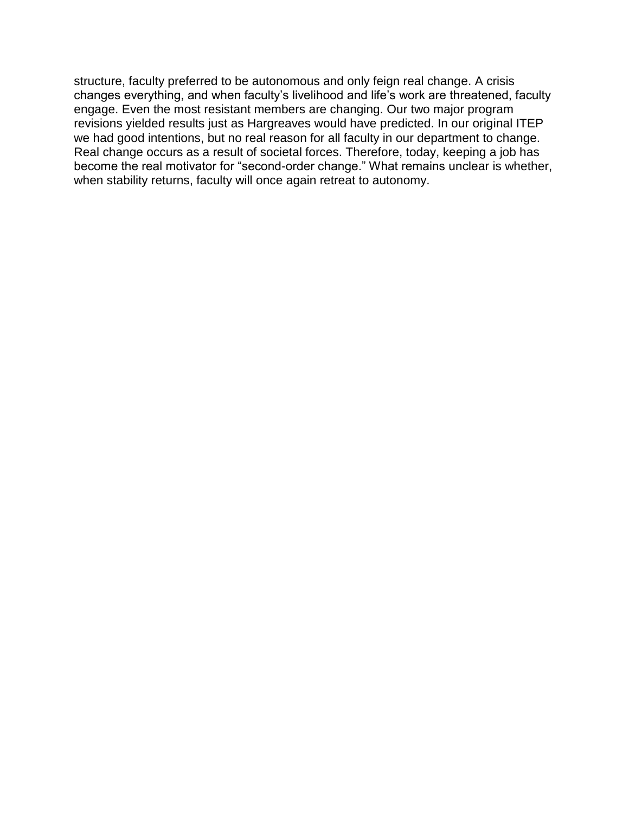structure, faculty preferred to be autonomous and only feign real change. A crisis changes everything, and when faculty's livelihood and life's work are threatened, faculty engage. Even the most resistant members are changing. Our two major program revisions yielded results just as Hargreaves would have predicted. In our original ITEP we had good intentions, but no real reason for all faculty in our department to change. Real change occurs as a result of societal forces. Therefore, today, keeping a job has become the real motivator for "second-order change." What remains unclear is whether, when stability returns, faculty will once again retreat to autonomy.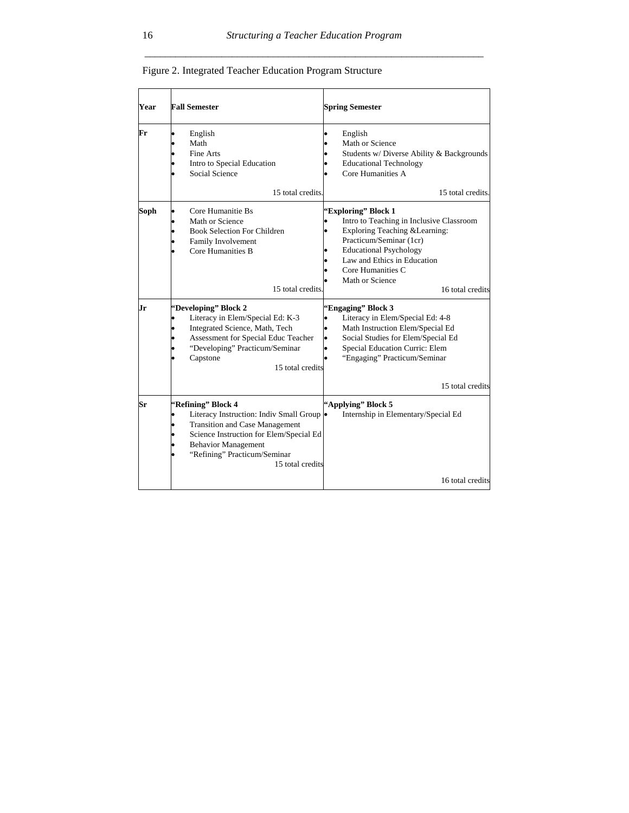| Year | <b>Fall Semester</b>                                                                                                                                                                                                                   | <b>Spring Semester</b>                                                                                                                                                                                                                                    |
|------|----------------------------------------------------------------------------------------------------------------------------------------------------------------------------------------------------------------------------------------|-----------------------------------------------------------------------------------------------------------------------------------------------------------------------------------------------------------------------------------------------------------|
| Fr   | English<br>Math<br>Fine Arts<br>Intro to Special Education<br>Social Science<br>15 total credits.                                                                                                                                      | English<br>Math or Science<br>Students w/ Diverse Ability & Backgrounds<br><b>Educational Technology</b><br>Core Humanities A<br>15 total credits.                                                                                                        |
| Soph | Core Humanitie Bs<br>Math or Science<br><b>Book Selection For Children</b><br>Family Involvement<br>Core Humanities B<br>15 total credits.                                                                                             | 'Exploring'' Block 1<br>Intro to Teaching in Inclusive Classroom<br>Exploring Teaching & Learning:<br>Practicum/Seminar (1cr)<br><b>Educational Psychology</b><br>Law and Ethics in Education<br>Core Humanities C<br>Math or Science<br>16 total credits |
| Jr   | 'Developing'' Block 2<br>Literacy in Elem/Special Ed: K-3<br>Integrated Science, Math, Tech<br>Assessment for Special Educ Teacher<br>"Developing" Practicum/Seminar<br>Capstone<br>15 total credits                                   | 'Engaging'' Block 3<br>Literacy in Elem/Special Ed: 4-8<br>Math Instruction Elem/Special Ed<br>Social Studies for Elem/Special Ed<br>Special Education Curric: Elem<br>"Engaging" Practicum/Seminar<br>15 total credits                                   |
| Sr   | 'Refining'' Block 4<br>Literacy Instruction: Indiv Small Group .<br><b>Transition and Case Management</b><br>Science Instruction for Elem/Special Ed<br><b>Behavior Management</b><br>"Refining" Practicum/Seminar<br>15 total credits | "Applying" Block 5<br>Internship in Elementary/Special Ed<br>16 total credits                                                                                                                                                                             |

Figure 2. Integrated Teacher Education Program Structure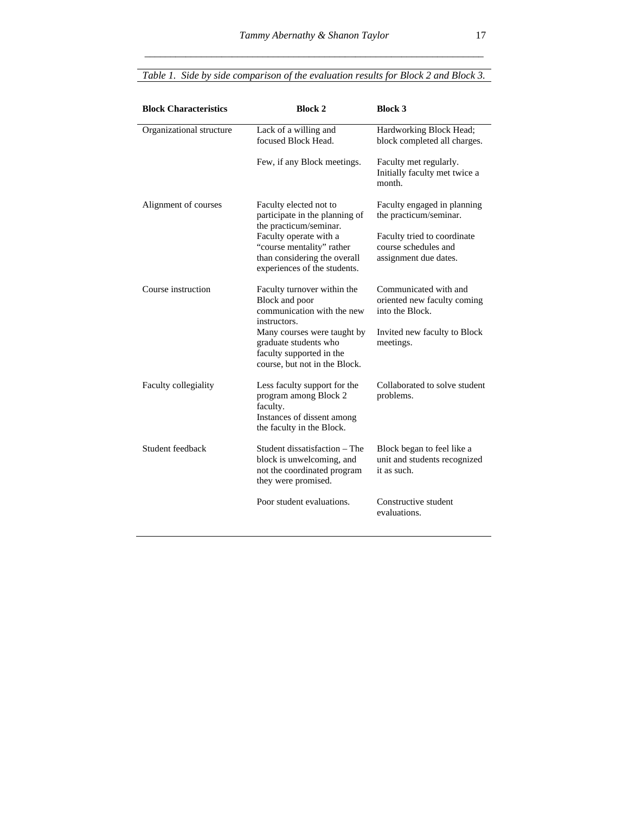| <b>Block Characteristics</b> | <b>Block 2</b>                                                                                                               | <b>Block 3</b>                                                               |
|------------------------------|------------------------------------------------------------------------------------------------------------------------------|------------------------------------------------------------------------------|
| Organizational structure     | Lack of a willing and<br>focused Block Head.                                                                                 | Hardworking Block Head;<br>block completed all charges.                      |
|                              | Few, if any Block meetings.                                                                                                  | Faculty met regularly.<br>Initially faculty met twice a<br>month.            |
| Alignment of courses         | Faculty elected not to<br>participate in the planning of<br>the practicum/seminar.                                           | Faculty engaged in planning<br>the practicum/seminar.                        |
|                              | Faculty operate with a<br>"course mentality" rather<br>than considering the overall<br>experiences of the students.          | Faculty tried to coordinate<br>course schedules and<br>assignment due dates. |
| Course instruction           | Faculty turnover within the<br>Block and poor<br>communication with the new<br>instructors.                                  | Communicated with and<br>oriented new faculty coming<br>into the Block.      |
|                              | Many courses were taught by<br>graduate students who<br>faculty supported in the<br>course, but not in the Block.            | Invited new faculty to Block<br>meetings.                                    |
| Faculty collegiality         | Less faculty support for the<br>program among Block 2<br>faculty.<br>Instances of dissent among<br>the faculty in the Block. | Collaborated to solve student<br>problems.                                   |
| Student feedback             | Student dissatisfaction - The<br>block is unwelcoming, and<br>not the coordinated program<br>they were promised.             | Block began to feel like a<br>unit and students recognized<br>it as such.    |
|                              | Poor student evaluations.                                                                                                    | Constructive student<br>evaluations.                                         |

### *Table 1. Side by side comparison of the evaluation results for Block 2 and Block 3.*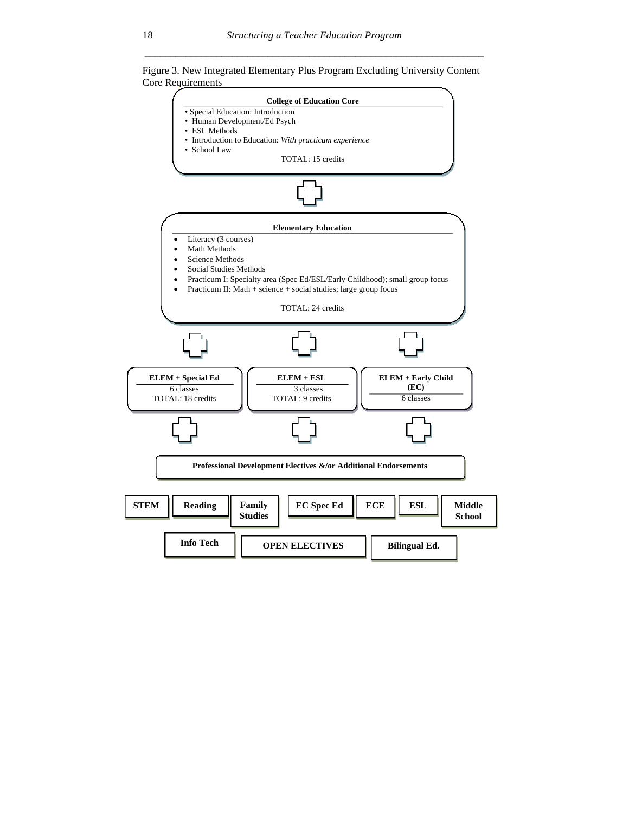*\_\_\_\_\_\_\_\_\_\_\_\_\_\_\_\_\_\_\_\_\_\_\_\_\_\_\_\_\_\_\_\_\_\_\_\_\_\_\_\_\_\_\_\_\_\_\_\_\_\_\_\_\_\_\_\_\_\_\_\_\_\_\_\_\_\_* 



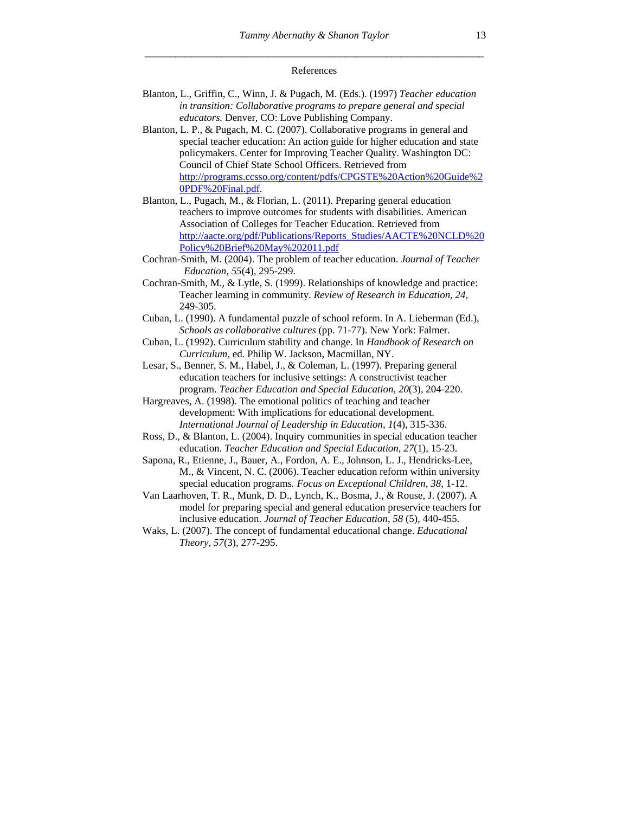#### References

- Blanton, L., Griffin, C., Winn, J. & Pugach, M. (Eds.). (1997) *Teacher education in transition: Collaborative programs to prepare general and special educators.* Denver, CO: Love Publishing Company.
- Blanton, L. P., & Pugach, M. C. (2007). Collaborative programs in general and special teacher education: An action guide for higher education and state policymakers. Center for Improving Teacher Quality. Washington DC: Council of Chief State School Officers. Retrieved from http://programs.ccsso.org/content/pdfs/CPGSTE%20Action%20Guide%2 0PDF%20Final.pdf.
- Blanton, L., Pugach, M., & Florian, L. (2011). Preparing general education teachers to improve outcomes for students with disabilities. American Association of Colleges for Teacher Education. Retrieved from http://aacte.org/pdf/Publications/Reports\_Studies/AACTE%20NCLD%20 Policy%20Brief%20May%202011.pdf
- Cochran-Smith, M. (2004). The problem of teacher education. *Journal of Teacher Education, 55*(4), 295-299.
- Cochran-Smith, M., & Lytle, S. (1999). Relationships of knowledge and practice: Teacher learning in community. *Review of Research in Education, 24*, 249-305.
- Cuban, L. (1990). A fundamental puzzle of school reform. In A. Lieberman (Ed.), *Schools as collaborative cultures* (pp. 71-77). New York: Falmer.
- Cuban, L. (1992). Curriculum stability and change. In *Handbook of Research on Curriculum,* ed. Philip W. Jackson, Macmillan, NY.
- Lesar, S., Benner, S. M., Habel, J., & Coleman, L. (1997). Preparing general education teachers for inclusive settings: A constructivist teacher program. *Teacher Education and Special Education, 20*(3), 204-220.
- Hargreaves, A. (1998). The emotional politics of teaching and teacher development: With implications for educational development. *International Journal of Leadership in Education, 1*(4), 315-336.
- Ross, D., & Blanton, L. (2004). Inquiry communities in special education teacher education. *Teacher Education and Special Education, 27*(1), 15-23.
- Sapona, R., Etienne, J., Bauer, A., Fordon, A. E., Johnson, L. J., Hendricks-Lee, M., & Vincent, N. C. (2006). Teacher education reform within university special education programs*. Focus on Exceptional Children, 38*, 1-12.
- Van Laarhoven, T. R., Munk, D. D., Lynch, K., Bosma, J., & Rouse, J. (2007). A model for preparing special and general education preservice teachers for inclusive education. *Journal of Teacher Education, 58* (5), 440-455.
- Waks, L. (2007). The concept of fundamental educational change. *Educational Theory, 57*(3), 277-295.